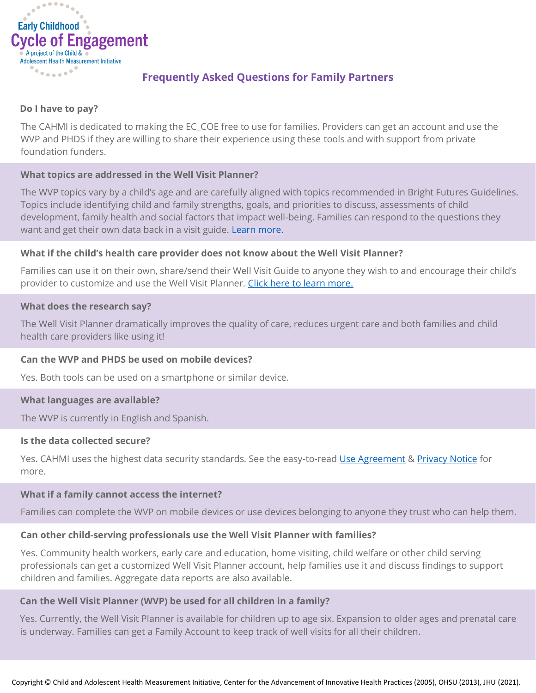

# **Frequently Asked Questions for Family Partners**

## **Do I have to pay?**

The CAHMI is dedicated to making the EC\_COE free to use for families. Providers can get an account and use the WVP and PHDS if they are willing to share their experience using these tools and with support from private foundation funders.

## **What topics are addressed in the Well Visit Planner?**

The WVP topics vary by a child's age and are carefully aligned with topics recommended in Bright Futures Guidelines. Topics include identifying child and family strengths, goals, and priorities to discuss, assessments of child development, family health and social factors that impact well-being. Families can respond to the questions they want and get their own data back in a visit guide. [Learn more.](https://implement.cycleofengagement.org/Resources/At-a-Glance%20Review%20of%20the%20EC_COE%20Model%20and%20Tools%20Content,%20Benefits%20and%20Implementation.pdf)

### **What if the child's health care provider does not know about the Well Visit Planner?**

Families can use it on their own, share/send their Well Visit Guide to anyone they wish to and encourage their child's provider to customize and use the Well Visit Planner. [Click here to learn more.](https://www.wellvisitplanner.org/ProviderInfo.aspx)

### **What does the research say?**

The Well Visit Planner dramatically improves the quality of care, reduces urgent care and both families and child health care providers like using it!

## **Can the WVP and PHDS be used on mobile devices?**

Yes. Both tools can be used on a smartphone or similar device.

#### **What languages are available?**

The WVP is currently in English and Spanish.

#### **Is the data collected secure?**

Yes. CAHMI uses the highest data security standards. See the easy-to-rea[d Use Agreement](https://www.wellvisitplanner.org/Terms.aspx) & [Privacy Notice](https://www.wellvisitplanner.org/Privacy.aspx) for more.

#### **What if a family cannot access the internet?**

Families can complete the WVP on mobile devices or use devices belonging to anyone they trust who can help them.

## **Can other child-serving professionals use the Well Visit Planner with families?**

Yes. Community health workers, early care and education, home visiting, child welfare or other child serving professionals can get a customized Well Visit Planner account, help families use it and discuss findings to support children and families. Aggregate data reports are also available.

## **Can the Well Visit Planner (WVP) be used for all children in a family?**

Yes. Currently, the Well Visit Planner is available for children up to age six. Expansion to older ages and prenatal care is underway. Families can get a Family Account to keep track of well visits for all their children.